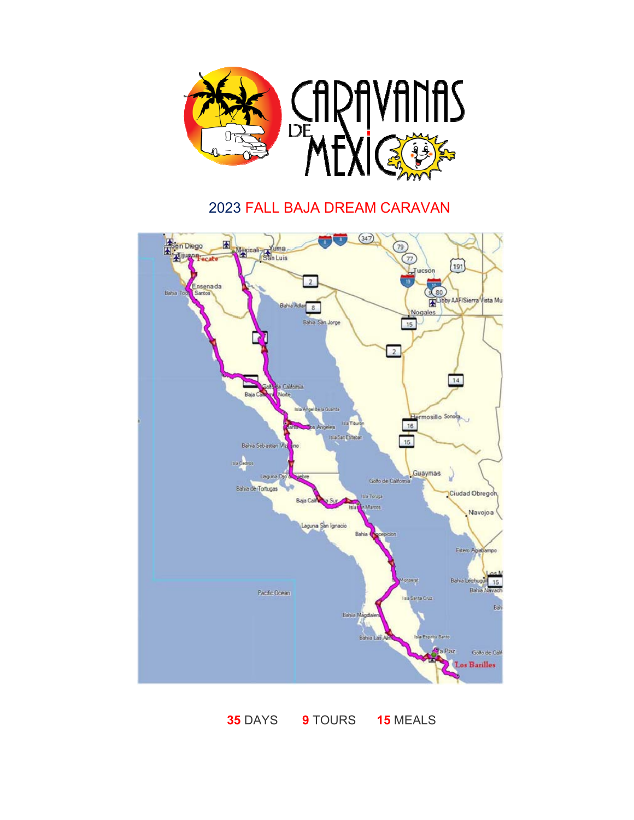

## FALL BAJA DREAM CARAVAN



DAYS **9** TOURS **15** MEALS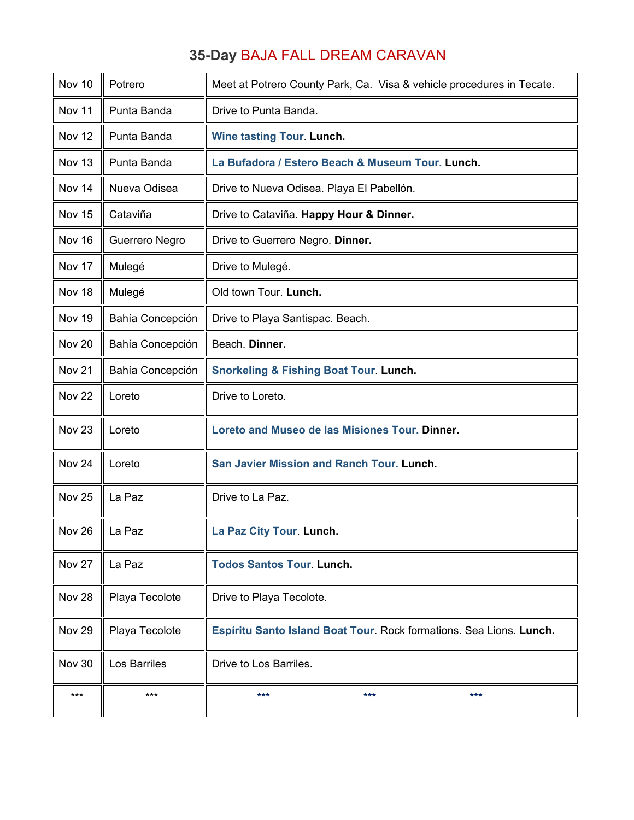## **35-Day** BAJA FALL DREAM CARAVAN

| Nov 10            | Potrero          | Meet at Potrero County Park, Ca. Visa & vehicle procedures in Tecate. |
|-------------------|------------------|-----------------------------------------------------------------------|
| Nov 11            | Punta Banda      | Drive to Punta Banda.                                                 |
| Nov 12            | Punta Banda      | <b>Wine tasting Tour. Lunch.</b>                                      |
| Nov 13            | Punta Banda      | La Bufadora / Estero Beach & Museum Tour. Lunch.                      |
| Nov 14            | Nueva Odisea     | Drive to Nueva Odisea. Playa El Pabellón.                             |
| Nov 15            | Cataviña         | Drive to Cataviña. Happy Hour & Dinner.                               |
| Nov 16            | Guerrero Negro   | Drive to Guerrero Negro. Dinner.                                      |
| Nov 17            | Mulegé           | Drive to Mulegé.                                                      |
| Nov 18            | Mulegé           | Old town Tour. Lunch.                                                 |
| Nov 19            | Bahía Concepción | Drive to Playa Santispac. Beach.                                      |
| Nov 20            | Bahía Concepción | Beach. Dinner.                                                        |
| Nov 21            | Bahía Concepción | <b>Snorkeling &amp; Fishing Boat Tour. Lunch.</b>                     |
| <b>Nov 22</b>     | Loreto           | Drive to Loreto.                                                      |
| Nov <sub>23</sub> | Loreto           | Loreto and Museo de las Misiones Tour. Dinner.                        |
| Nov 24            | Loreto           | San Javier Mission and Ranch Tour. Lunch.                             |
| Nov <sub>25</sub> | La Paz           | Drive to La Paz.                                                      |
| Nov 26            | La Paz           | La Paz City Tour. Lunch.                                              |
| Nov 27            | La Paz           | <b>Todos Santos Tour. Lunch.</b>                                      |
| Nov 28            | Playa Tecolote   | Drive to Playa Tecolote.                                              |
| Nov 29            | Playa Tecolote   | Espíritu Santo Island Boat Tour. Rock formations. Sea Lions. Lunch.   |
| <b>Nov 30</b>     | Los Barriles     | Drive to Los Barriles.                                                |
| $***$             | $***$            | ***<br>***<br>***                                                     |